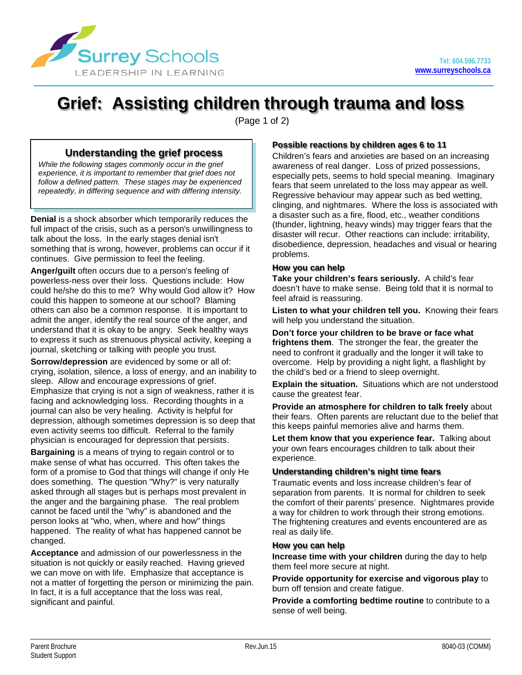

# **Grief: Assisting children through trauma and loss**

(Page 1 of 2)

# **Understanding the grief process**

*While the following stages commonly occur in the grief experience, it is important to remember that grief does not follow a defined pattern. These stages may be experienced repeatedly, in differing sequence and with differing intensity.*

**Denial** is a shock absorber which temporarily reduces the full impact of the crisis, such as a person's unwillingness to talk about the loss. In the early stages denial isn't something that is wrong, however, problems can occur if it continues. Give permission to feel the feeling.

**Anger/guilt** often occurs due to a person's feeling of powerless-ness over their loss. Questions include: How could he/she do this to me? Why would God allow it? How could this happen to someone at our school? Blaming others can also be a common response. It is important to admit the anger, identify the real source of the anger, and understand that it is okay to be angry. Seek healthy ways to express it such as strenuous physical activity, keeping a journal, sketching or talking with people you trust.

**Sorrow/depression** are evidenced by some or all of: crying, isolation, silence, a loss of energy, and an inability to sleep. Allow and encourage expressions of grief. Emphasize that crying is not a sign of weakness, rather it is facing and acknowledging loss. Recording thoughts in a journal can also be very healing. Activity is helpful for depression, although sometimes depression is so deep that even activity seems too difficult. Referral to the family physician is encouraged for depression that persists.

**Bargaining** is a means of trying to regain control or to make sense of what has occurred. This often takes the form of a promise to God that things will change if only He does something. The question "Why?" is very naturally asked through all stages but is perhaps most prevalent in the anger and the bargaining phase. The real problem cannot be faced until the "why" is abandoned and the person looks at "who, when, where and how" things happened. The reality of what has happened cannot be changed.

**Acceptance** and admission of our powerlessness in the situation is not quickly or easily reached. Having grieved we can move on with life. Emphasize that acceptance is not a matter of forgetting the person or minimizing the pain. In fact, it is a full acceptance that the loss was real, significant and painful.

# **Possible reactions by children ages 6 to 11**

Children's fears and anxieties are based on an increasing awareness of real danger. Loss of prized possessions, especially pets, seems to hold special meaning. Imaginary fears that seem unrelated to the loss may appear as well. Regressive behaviour may appear such as bed wetting, clinging, and nightmares. Where the loss is associated with a disaster such as a fire, flood, etc., weather conditions (thunder, lightning, heavy winds) may trigger fears that the disaster will recur. Other reactions can include: irritability, disobedience, depression, headaches and visual or hearing problems.

## **How you can help**

**Take your children's fears seriously.** A child's fear doesn't have to make sense. Being told that it is normal to feel afraid is reassuring.

**Listen to what your children tell you.** Knowing their fears will help you understand the situation.

**Don't force your children to be brave or face what frightens them**. The stronger the fear, the greater the need to confront it gradually and the longer it will take to overcome. Help by providing a night light, a flashlight by the child's bed or a friend to sleep overnight.

**Explain the situation.** Situations which are not understood cause the greatest fear.

**Provide an atmosphere for children to talk freely** about their fears. Often parents are reluctant due to the belief that this keeps painful memories alive and harms them.

**Let them know that you experience fear.** Talking about your own fears encourages children to talk about their experience.

## **Understanding children's night time fears**

Traumatic events and loss increase children's fear of separation from parents. It is normal for children to seek the comfort of their parents' presence. Nightmares provide a way for children to work through their strong emotions. The frightening creatures and events encountered are as real as daily life.

#### **How you can help**

**Increase time with your children** during the day to help them feel more secure at night.

**Provide opportunity for exercise and vigorous play** to burn off tension and create fatigue.

**Provide a comforting bedtime routine** to contribute to a sense of well being.